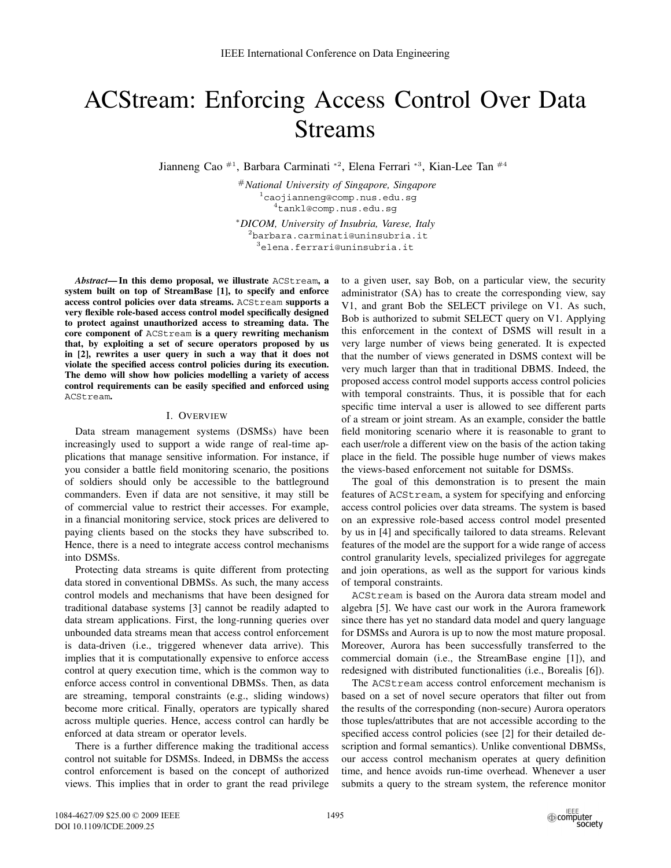# ACStream: Enforcing Access Control Over Data Streams

Jianneng Cao #1, Barbara Carminati <sup>∗</sup><sup>2</sup>, Elena Ferrari <sup>∗</sup><sup>3</sup>, Kian-Lee Tan #4

#*National University of Singapore, Singapore* <sup>1</sup>caojianneng@comp.nus.edu.sg  $^4$ tankl@comp.nus.edu.sq

<sup>∗</sup>*DICOM, University of Insubria, Varese, Italy*  $2$ barbara.carminati@uninsubria.it  $^3$ elena.ferrari@uninsubria.it

*Abstract***— In this demo proposal, we illustrate** ACStream**, a system built on top of StreamBase [1], to specify and enforce access control policies over data streams.** ACStream **supports a very flexible role-based access control model specifically designed to protect against unauthorized access to streaming data. The core component of** ACStream **is a query rewriting mechanism that, by exploiting a set of secure operators proposed by us in [2], rewrites a user query in such a way that it does not violate the specified access control policies during its execution. The demo will show how policies modelling a variety of access control requirements can be easily specified and enforced using** ACStream**.**

#### I. OVERVIEW

Data stream management systems (DSMSs) have been increasingly used to support a wide range of real-time applications that manage sensitive information. For instance, if you consider a battle field monitoring scenario, the positions of soldiers should only be accessible to the battleground commanders. Even if data are not sensitive, it may still be of commercial value to restrict their accesses. For example, in a financial monitoring service, stock prices are delivered to paying clients based on the stocks they have subscribed to. Hence, there is a need to integrate access control mechanisms into DSMSs.

Protecting data streams is quite different from protecting data stored in conventional DBMSs. As such, the many access control models and mechanisms that have been designed for traditional database systems [3] cannot be readily adapted to data stream applications. First, the long-running queries over unbounded data streams mean that access control enforcement is data-driven (i.e., triggered whenever data arrive). This implies that it is computationally expensive to enforce access control at query execution time, which is the common way to enforce access control in conventional DBMSs. Then, as data are streaming, temporal constraints (e.g., sliding windows) become more critical. Finally, operators are typically shared across multiple queries. Hence, access control can hardly be enforced at data stream or operator levels.

There is a further difference making the traditional access control not suitable for DSMSs. Indeed, in DBMSs the access control enforcement is based on the concept of authorized views. This implies that in order to grant the read privilege to a given user, say Bob, on a particular view, the security administrator (SA) has to create the corresponding view, say V1, and grant Bob the SELECT privilege on V1. As such, Bob is authorized to submit SELECT query on V1. Applying this enforcement in the context of DSMS will result in a very large number of views being generated. It is expected that the number of views generated in DSMS context will be very much larger than that in traditional DBMS. Indeed, the proposed access control model supports access control policies with temporal constraints. Thus, it is possible that for each specific time interval a user is allowed to see different parts of a stream or joint stream. As an example, consider the battle field monitoring scenario where it is reasonable to grant to each user/role a different view on the basis of the action taking place in the field. The possible huge number of views makes the views-based enforcement not suitable for DSMSs.

The goal of this demonstration is to present the main features of ACStream, a system for specifying and enforcing access control policies over data streams. The system is based on an expressive role-based access control model presented by us in [4] and specifically tailored to data streams. Relevant features of the model are the support for a wide range of access control granularity levels, specialized privileges for aggregate and join operations, as well as the support for various kinds of temporal constraints.

ACStream is based on the Aurora data stream model and algebra [5]. We have cast our work in the Aurora framework since there has yet no standard data model and query language for DSMSs and Aurora is up to now the most mature proposal. Moreover, Aurora has been successfully transferred to the commercial domain (i.e., the StreamBase engine [1]), and redesigned with distributed functionalities (i.e., Borealis [6]).

The ACStream access control enforcement mechanism is based on a set of novel secure operators that filter out from the results of the corresponding (non-secure) Aurora operators those tuples/attributes that are not accessible according to the specified access control policies (see [2] for their detailed description and formal semantics). Unlike conventional DBMSs, our access control mechanism operates at query definition time, and hence avoids run-time overhead. Whenever a user submits a query to the stream system, the reference monitor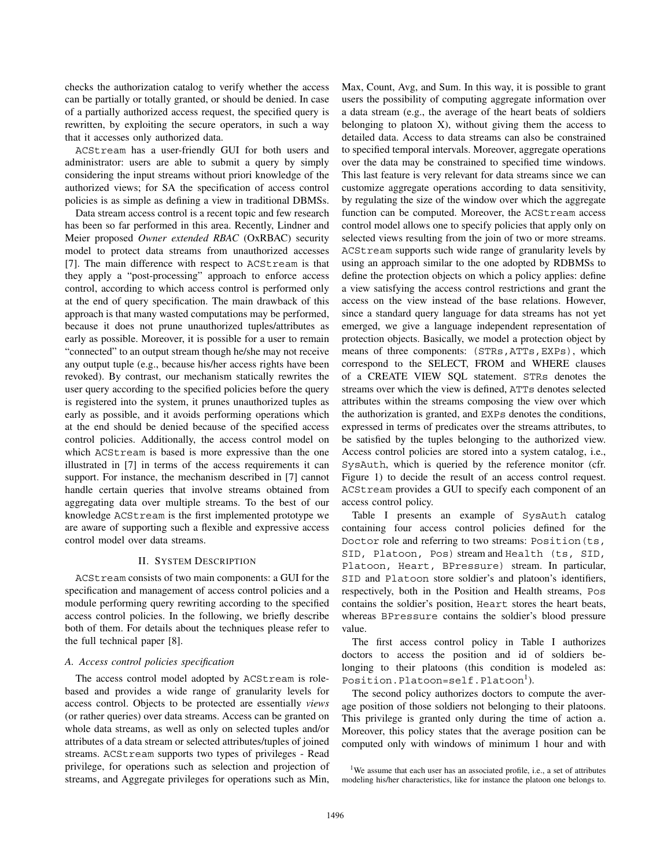checks the authorization catalog to verify whether the access can be partially or totally granted, or should be denied. In case of a partially authorized access request, the specified query is rewritten, by exploiting the secure operators, in such a way that it accesses only authorized data.

ACStream has a user-friendly GUI for both users and administrator: users are able to submit a query by simply considering the input streams without priori knowledge of the authorized views; for SA the specification of access control policies is as simple as defining a view in traditional DBMSs.

Data stream access control is a recent topic and few research has been so far performed in this area. Recently, Lindner and Meier proposed *Owner extended RBAC* (OxRBAC) security model to protect data streams from unauthorized accesses [7]. The main difference with respect to ACStream is that they apply a "post-processing" approach to enforce access control, according to which access control is performed only at the end of query specification. The main drawback of this approach is that many wasted computations may be performed, because it does not prune unauthorized tuples/attributes as early as possible. Moreover, it is possible for a user to remain "connected" to an output stream though he/she may not receive any output tuple (e.g., because his/her access rights have been revoked). By contrast, our mechanism statically rewrites the user query according to the specified policies before the query is registered into the system, it prunes unauthorized tuples as early as possible, and it avoids performing operations which at the end should be denied because of the specified access control policies. Additionally, the access control model on which ACStream is based is more expressive than the one illustrated in [7] in terms of the access requirements it can support. For instance, the mechanism described in [7] cannot handle certain queries that involve streams obtained from aggregating data over multiple streams. To the best of our knowledge ACStream is the first implemented prototype we are aware of supporting such a flexible and expressive access control model over data streams.

## II. SYSTEM DESCRIPTION

ACStream consists of two main components: a GUI for the specification and management of access control policies and a module performing query rewriting according to the specified access control policies. In the following, we briefly describe both of them. For details about the techniques please refer to the full technical paper [8].

### *A. Access control policies specification*

The access control model adopted by ACStream is rolebased and provides a wide range of granularity levels for access control. Objects to be protected are essentially *views* (or rather queries) over data streams. Access can be granted on whole data streams, as well as only on selected tuples and/or attributes of a data stream or selected attributes/tuples of joined streams. ACStream supports two types of privileges - Read privilege, for operations such as selection and projection of streams, and Aggregate privileges for operations such as Min, Max, Count, Avg, and Sum. In this way, it is possible to grant users the possibility of computing aggregate information over a data stream (e.g., the average of the heart beats of soldiers belonging to platoon X), without giving them the access to detailed data. Access to data streams can also be constrained to specified temporal intervals. Moreover, aggregate operations over the data may be constrained to specified time windows. This last feature is very relevant for data streams since we can customize aggregate operations according to data sensitivity, by regulating the size of the window over which the aggregate function can be computed. Moreover, the ACStream access control model allows one to specify policies that apply only on selected views resulting from the join of two or more streams. ACStream supports such wide range of granularity levels by using an approach similar to the one adopted by RDBMSs to define the protection objects on which a policy applies: define a view satisfying the access control restrictions and grant the access on the view instead of the base relations. However, since a standard query language for data streams has not yet emerged, we give a language independent representation of protection objects. Basically, we model a protection object by means of three components: (STRs,ATTs,EXPs), which correspond to the SELECT, FROM and WHERE clauses of a CREATE VIEW SQL statement. STRs denotes the streams over which the view is defined, ATTs denotes selected attributes within the streams composing the view over which the authorization is granted, and EXPs denotes the conditions, expressed in terms of predicates over the streams attributes, to be satisfied by the tuples belonging to the authorized view. Access control policies are stored into a system catalog, i.e., SysAuth, which is queried by the reference monitor (cfr. Figure 1) to decide the result of an access control request. ACStream provides a GUI to specify each component of an access control policy.

Table I presents an example of SysAuth catalog containing four access control policies defined for the Doctor role and referring to two streams: Position (ts, SID, Platoon, Pos) stream and Health (ts, SID, Platoon, Heart, BPressure) stream. In particular, SID and Platoon store soldier's and platoon's identifiers, respectively, both in the Position and Health streams, Pos contains the soldier's position, Heart stores the heart beats, whereas BPressure contains the soldier's blood pressure value.

The first access control policy in Table I authorizes doctors to access the position and id of soldiers belonging to their platoons (this condition is modeled as: Position.Platoon=self.Platoon<sup>1</sup>).

The second policy authorizes doctors to compute the average position of those soldiers not belonging to their platoons. This privilege is granted only during the time of action a. Moreover, this policy states that the average position can be computed only with windows of minimum 1 hour and with

<sup>&</sup>lt;sup>1</sup>We assume that each user has an associated profile, i.e., a set of attributes modeling his/her characteristics, like for instance the platoon one belongs to.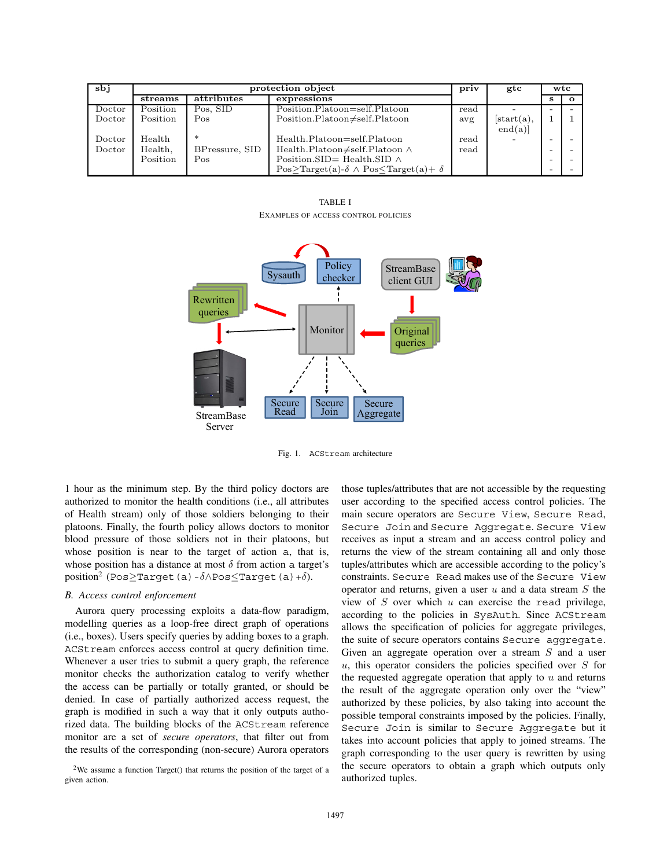| sbj    | protection object |                |                                                               | priv | gtc        |   | wtc |  |
|--------|-------------------|----------------|---------------------------------------------------------------|------|------------|---|-----|--|
|        | streams           | attributes     | expressions                                                   |      |            | s |     |  |
| Doctor | Position          | Pos, SID       | Position.Platoon=self.Platoon                                 | read |            |   |     |  |
| Doctor | Position          | Pos            | Position.Platoon≠self.Platoon                                 | avg  | [start(a), |   |     |  |
|        |                   |                |                                                               |      | end(a)     |   |     |  |
| Doctor | Health            | $\ast$         | Health.Platoon=self.Platoon                                   | read |            |   |     |  |
| Doctor | Health,           | BPressure, SID | Health.Platoon $\neq$ self.Platoon $\wedge$                   | read |            |   |     |  |
|        | Position          | Pos            | Position.SID= Health.SID $\land$                              |      |            |   |     |  |
|        |                   |                | $Pos>\text{Target}(a)-\delta \wedge Pos\leq Target(a)+\delta$ |      |            |   |     |  |

TABLE I EXAMPLES OF ACCESS CONTROL POLICIES



Fig. 1. ACStream architecture

1 hour as the minimum step. By the third policy doctors are authorized to monitor the health conditions (i.e., all attributes of Health stream) only of those soldiers belonging to their platoons. Finally, the fourth policy allows doctors to monitor blood pressure of those soldiers not in their platoons, but whose position is near to the target of action a, that is, whose position has a distance at most  $\delta$  from action a target's position<sup>2</sup> (Pos $\geq$ Target(a)- $\delta \wedge$ Pos $\leq$ Target(a)+ $\delta$ ).

### *B. Access control enforcement*

Aurora query processing exploits a data-flow paradigm, modelling queries as a loop-free direct graph of operations (i.e., boxes). Users specify queries by adding boxes to a graph. ACStream enforces access control at query definition time. Whenever a user tries to submit a query graph, the reference monitor checks the authorization catalog to verify whether the access can be partially or totally granted, or should be denied. In case of partially authorized access request, the graph is modified in such a way that it only outputs authorized data. The building blocks of the ACStream reference monitor are a set of *secure operators*, that filter out from the results of the corresponding (non-secure) Aurora operators

<sup>2</sup>We assume a function Target() that returns the position of the target of a given action.

those tuples/attributes that are not accessible by the requesting user according to the specified access control policies. The main secure operators are Secure View, Secure Read, Secure Join and Secure Aggregate. Secure View receives as input a stream and an access control policy and returns the view of the stream containing all and only those tuples/attributes which are accessible according to the policy's constraints. Secure Read makes use of the Secure View operator and returns, given a user  $u$  and a data stream  $S$  the view of  $S$  over which  $u$  can exercise the read privilege, according to the policies in SysAuth. Since ACStream allows the specification of policies for aggregate privileges, the suite of secure operators contains Secure aggregate. Given an aggregate operation over a stream  $S$  and a user  $u$ , this operator considers the policies specified over  $S$  for the requested aggregate operation that apply to  $u$  and returns the result of the aggregate operation only over the "view" authorized by these policies, by also taking into account the possible temporal constraints imposed by the policies. Finally, Secure Join is similar to Secure Aggregate but it takes into account policies that apply to joined streams. The graph corresponding to the user query is rewritten by using the secure operators to obtain a graph which outputs only authorized tuples.